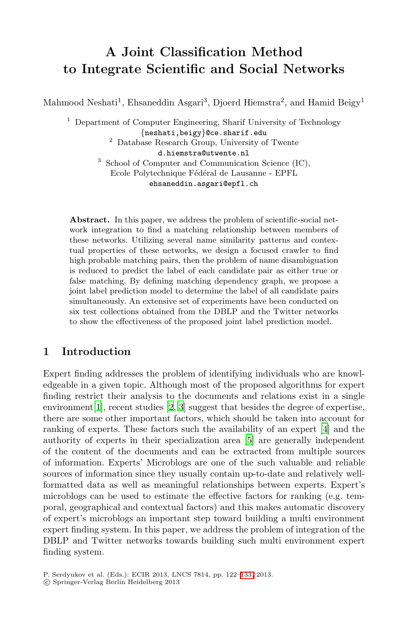# **A Joint Classification Method to Integrate Scientific and Social Networks**

Mahmood Neshati<sup>1</sup>, Ehsaneddin Asgari<sup>3</sup>, Djoerd Hiemstra<sup>2</sup>, and Hamid Beigy<sup>1</sup>

<sup>1</sup> Department of Computer Engineering, Sharif University of Technology *{*neshati,beigy*}*@ce.sharif.edu <sup>2</sup> Database Research Group, University of Twente d.hiemstra@utwente.nl <sup>3</sup> School of Computer and Communication Science (IC),

Ecole Polytechnique Fédéral de Lausanne - EPFL ehsaneddin.asgari@epfl.ch

<span id="page-0-0"></span>Abstract. In this paper, we address the problem of scientific-social network integration to find a matching relationship between members of these networks. Utilizing several name similarity patterns and contextual properties of these networks, we design a focused crawler to find high probable matching pairs, then the problem of name disambiguation is reduced to predict the label of each candidate pair as either true or false matching. By defining matching dependency graph, we propose a joint label prediction model to determine the label of all candidate pairs simultaneously. An extensive set of experiments have been conducted on six test collections obtained from the DBLP and the Twitter networks to sho[w t](#page-11-0)[he](#page-11-1) effectiveness of the proposed joint label prediction model.

## **1 Introduction**

Expert finding addresses the problem of identifying individuals who are knowledgeable in a given topic. Although most of the proposed algorithms for expert finding restrict their analysis to the documents and relations exist in a single environment<sup>[1]</sup>, recent studies [2, 3] suggest that besides the degree of expertise, there are some other important factors, which should be taken into account for ranking of experts. These factors such the availability of an expert [4] and the authority of experts in their specialization area [5] are generally independent of the content of the documents and can be extracted from multiple sources of information. Experts' Microblogs are one of the such valuable and reliable sources of information since they usually contain up-to-date and relatively wellformatted data as well as me[anin](#page-11-2)gful relationships between experts. Expert's microblogs can be used to estimate the effective factors for ranking (e.g. temporal, geographical and contextual factors) and this makes automatic discovery of expert's microblogs an important step toward building a multi environment expert finding system. In this paper, we address the problem of integration of the DBLP and Twitter networks towards building such multi environment expert finding system.

P. Serdyukov et al. (Eds.): ECIR 2013, LNCS 7814, pp. 122–133, 2013.

-c Springer-Verlag Berlin Heidelberg 2013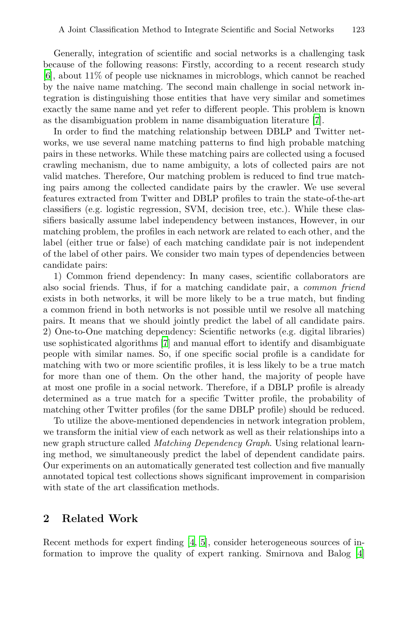Generally, integration of scientific and social networks is a challenging task because of the following reasons: Firstly, according to a recent research study [6], about 11% of people use nicknames in microblogs, which cannot be reached by the naive name matching. The second main challenge in social network integration is distinguishing those entities that have very similar and sometimes exactly the same name and yet refer to different people. This problem is known as the disambiguation problem in name disambiguation literature [7].

In order to find the matching relationship between DBLP and Twitter networks, we use several name matching patterns to find high probable matching pairs in these networks. While these matching pairs are collected using a focused crawling mechanism, due to name ambiguity, a lots of collected pairs are not valid matches. Therefore, Our matching problem is reduced to find true matching pairs among the collected candidate pairs by the crawler. We use several features extracted from Twitter and DBLP profiles to train the state-of-the-art classifiers (e.g. logistic regression, SVM, decision tree, etc.). While these classifiers basically assume label independency between instances, However, in our matching problem, the profiles in each network are related to each other, and the label (either true or false) of each matching candidate pair is not independent of the label [o](#page-11-3)f other pairs. We consider two main types of dependencies between candidate pairs:

1) Common friend dependency: In many cases, scientific collaborators are also social friends. Thus, if for a matching candidate pair, a *common friend* exists in both networks, it will be more likely to be a true match, but finding a common friend in both networks is not possible until we resolve all matching pairs. It means that we should jointly predict the label of all candidate pairs. 2) One-to-One matching dependency: Scientific networks (e.g. digital libraries) use sophisticated algorithms [7] and manual effort to identify and disambiguate people with similar names. So, if one specific social profile is a candidate for matching with two or more scientific profiles, it is less likely to be a true match for more than one of them. On the other hand, the majority of people have at most one profile in a social network. Therefore, if a DBLP profile is already determined as a true match for a specific Twitter profile, the probability of matching other Twitter profiles (for the same DBLP profile) should be reduced.

To utilize the above-mentioned dependencies in network integration problem, we transform the initial view of each network as well as their relationships into a new graph structure called *Matching Dependency Graph*. Using relational learning method, we si[m](#page-11-4)[ult](#page-11-5)aneously predict the label of dependent candidate pairs. Our experiments on an automatically generated test collecti[on](#page-11-4) and five manually annotated topical test collections shows significant improvement in comparision with state of the art classification methods.

## **2 Related Work**

Recent methods for expert finding [4, 5], consider heterogeneous sources of information to improve the quality of expert ranking. Smirnova and Balog [4]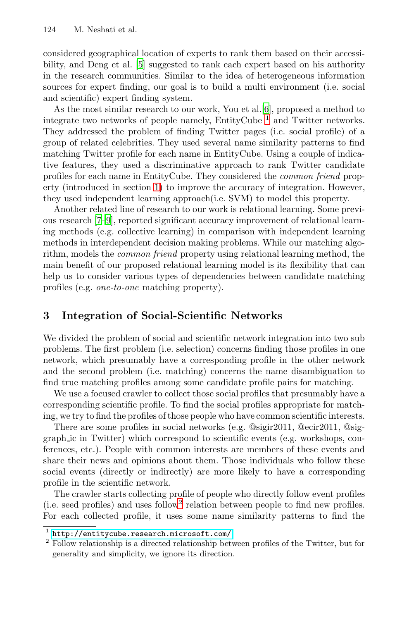considered geographical location of experts to rank them based on their accessibility, and Deng et al. [5] suggested to rank each expert based on his authority in the research communities. Similar to the idea of heterogeneous information sources for expert finding, our goal is to build a multi environment (i.e. social and scien[tifi](#page-0-0)c) expert finding system.

<span id="page-2-1"></span>As the most similar research to our work, You et al.[6], proposed a method to integrate two networks of people namely,  $EntityCube^{-1}$  and Twitter networks. They addressed the problem of finding Twitter pages (i.e. social profile) of a group of related celebrities. They used several name similarity patterns to find matching Twitter profile for each name in EntityCube. Using a couple of indicative features, they used a discriminative approach to rank Twitter candidate profiles for each name in EntityCube. They considered the *common friend* property (introduced in section 1) to improve the accuracy of integration. However, they used independent learning approach(i.e. SVM) to model this property.

Another related line of research to our work is relational learning. Some previous research [7–9], reported significant accuracy improvement of relational learning methods (e.g. collective learning) in comparison with independent learning methods in interdependent decision making problems. While our matching algorithm, models the *common friend* property using relational learning method, the main benefit of our proposed relational learning model is its flexibility that can help us to consider various types of dependencies between candidate matching profiles (e.g. *one-to-one* matching property).

# **3 Integration of Social-Scientific Networks**

We divided the problem of social and scientific network integration into two sub problems. The first problem (i.e. selection) concerns finding those profiles in one network, which presumably have a corresponding profile in the other network and the second problem (i.e. matching) concerns the name disambiguation to find true matching profiles among some candidate profile pairs for matching.

<span id="page-2-0"></span>We use a focused crawler to collect those social profiles that presumably have a corresponding scientific profile. To find the social profiles appropriate for matching, we try to fi[nd](#page-2-0) the profiles of those people who have common scientific interests.

There are some profiles in social networks (e.g. @sigir2011, @ecir2011, @siggraph ic in Twitter) which correspond to scientific events (e.g. workshops, con[ferences, etc.\). People with c](http://entitycube.research.microsoft.com/)ommon interests are members of these events and share their news and opinions about them. Those individuals who follow these social events (directly or indirectly) are more likely to have a corresponding profile in the scientific network.

The crawler starts collecting profile of people who directly follow event profiles (i.e. seed profiles) and uses follow<sup>2</sup> relation between people to find new profiles. For each collected profile, it uses some name similarity patterns to find the

<sup>&</sup>lt;sup>1</sup> http://entitycube.research.microsoft.com/<br><sup>2</sup> Fellow relationship is a directed relationship between

<sup>2</sup> Follow relationship is a directed relationship between profiles of the Twitter, but for generality and simplicity, we ignore its direction.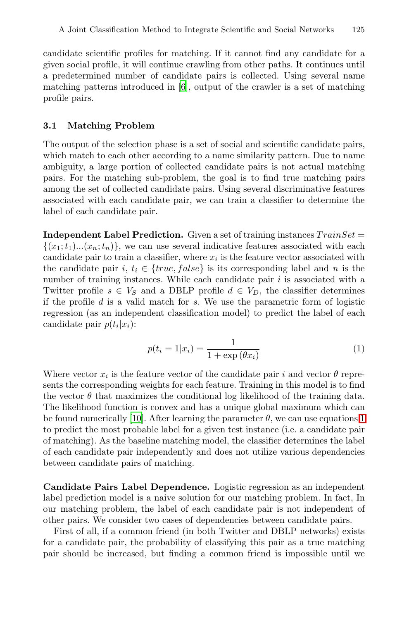candidate scientific profiles for matching. If it cannot find any candidate for a given social profile, it will continue crawling from other paths. It continues until a predetermined number of candidate pairs is collected. Using several name matching patterns introduced in [6], output of the crawler is a set of matching profile pairs.

#### **3.1 Matching Problem**

The output of the selection phase is a set of social and scientific candidate pairs, which match to each other according to a name similarity pattern. Due to name ambiguity, a large portion of collected candidate pairs is not actual matching pairs. For the matching sub-problem, the goal is to find true matching pairs among the set of collected candidate pairs. Using several discriminative features associated with each candidate pair, we can train a classifier to determine the label of each candidate pair.

**Independent Label Prediction.** Given a set of training instances  $TrainSet =$  $\{(x_1;t_1)...(x_n;t_n)\}\)$ , we can use several indicative features associated with each candidate pair to train a classifier, where  $x_i$  is the feature vector associated with the candidate pair i,  $t_i \in \{true, false\}$  is its corresponding label and *n* is the number of training instances. While each candidate pair i is associated with a Twitter profile  $s \in V_S$  and a DBLP profile  $d \in V_D$ , the classifier determines if the profile  $d$  is a valid match for  $s$ . We use the parametric form of logistic regression (as an independent classification model) to predict the label of each can[did](#page-11-6)ate pair  $p(t_i|x_i)$ :

$$
p(t_i = 1 | x_i) = \frac{1}{1 + \exp(\theta x_i)}
$$
(1)

Where vector  $x_i$  is the feature vector of the candidate pair i and vector  $\theta$  represents the corresponding weights for each feature. Training in this model is to find the vector  $\theta$  that maximizes the conditional log likelihood of the training data. The likelihood function is convex and has a unique global maximum which can be found numerically [10]. After learning the parameter  $\theta$ , we can use equations 1 to predict the most probable label for a given test instance (i.e. a candidate pair of matching). As the baseline matching model, the classifier determines the label of each candidate pair independently and does not utilize various dependencies between candidate pairs of matching.

**Candidate Pairs Label Dependence.** Logistic regression as an independent label prediction model is a naive solution for our matching problem. In fact, In our matching problem, the label of each candidate pair is not independent of other pairs. We consider two cases of dependencies between candidate pairs.

First of all, if a common friend (in both Twitter and DBLP networks) exists for a candidate pair, the probability of classifying this pair as a true matching pair should be increased, but finding a common friend is impossible until we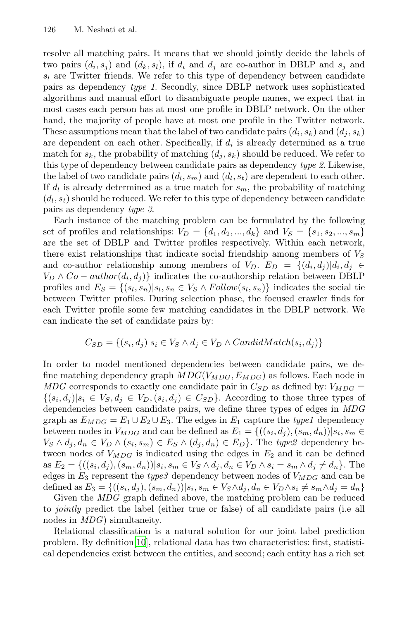resolve all matching pairs. It means that we should jointly decide the labels of two pairs  $(d_i, s_j)$  and  $(d_k, s_l)$ , if  $d_i$  and  $d_j$  are co-author in DBLP and  $s_j$  and  $s_l$  are Twitter friends. We refer to this type of dependency between candidate pairs as dependency *type 1*. Secondly, since DBLP network uses sophisticated algorithms and manual effort to disambiguate people names, we expect that in most cases each person has at most one profile in DBLP network. On the other hand, the majority of people have at most one profile in the Twitter network. These assumptions mean that the label of two candidate pairs  $(d_i, s_k)$  and  $(d_i, s_k)$ are dependent on each other. Specifically, if d*<sup>i</sup>* is already determined as a true match for  $s_k$ , the probability of matching  $(d_i, s_k)$  should be reduced. We refer to this type of dependency between candidate pairs as dependency *type 2*. Likewise, the label of two candidate pairs  $(d_l, s_m)$  and  $(d_l, s_t)$  are dependent to each other. If  $d_l$  is already determined as a true match for  $s_m$ , the probability of matching  $(d_l, s_t)$  should be reduced. We refer to this type of dependency between candidate pairs as dependency *type 3*.

Each instance of the matching problem can be formulated by the following set of profiles and relationships:  $V_D = \{d_1, d_2, ..., d_k\}$  and  $V_S = \{s_1, s_2, ..., s_m\}$ are the set of DBLP and Twitter profiles respectively. Within each network, there exist relationships that indicate social friendship among members of V*<sup>S</sup>* and co-author relationship among members of  $V_D$ .  $E_D = \{(d_i, d_j) | d_i, d_j \in$  $V_D \wedge Co - author(d_i, d_j)$ } indicates the co-authorship relation between DBLP profiles and  $E_S = \{(s_l, s_n) | s_l, s_n \in V_S \land Follow(s_l, s_n)\}\$  indicates the social tie between Twitter profiles. During selection phase, the focused crawler finds for each Twitter profile some few matching candidates in the DBLP network. We can indicate the set of candidate pairs by:

$$
C_{SD} = \{(s_i, d_j) | s_i \in V_S \land d_j \in V_D \land \text{CandidMatch}(s_i, d_j) \}
$$

In order to model mentioned dependencies between candidate pairs, we define matching dependency graph MDG(V*MDG*, E*MDG*) as follows. Each node in *MDG* corresponds to exactly one candidate pair in  $C_{SD}$  as defined by:  $V_{MDG}$  =  $\{(s_i, d_j)|s_i \in V_S, d_j \in V_D, (s_i, d_j) \in C_{SD}\}.$  According to those three types of dependencies between candidate pairs, we define three types of edges in *MDG* graph as  $E_{MDG} = E_1 \cup E_2 \cup E_3$ . The edges in  $E_1$  capture the *type1* dependency between nodes in  $V_{MDG}$  and can be defined as  $E_1 = \{((s_i, d_j), (s_m, d_n)) | s_i, s_m \in$  $V_S \wedge d_j, d_n \in V_D \wedge (s_i, s_m) \in E_S \wedge (d_j, d_n) \in E_D$ . The *type2* dependency betwee[n n](#page-11-6)odes of  $V_{MDG}$  is indicated using the edges in  $E_2$  and it can be defined as  $E_2 = \{((s_i, d_j), (s_m, d_n)) | s_i, s_m \in V_S \wedge d_j, d_n \in V_D \wedge s_i = s_m \wedge d_j \neq d_n\}.$  The edges in  $E_3$  represent the *type3* dependency between nodes of  $V_{MDG}$  and can be defined as  $E_3 = \{((s_i, d_j), (s_m, d_n)) | s_i, s_m \in V_S \land d_j, d_n \in V_D \land s_i \neq s_m \land d_j = d_n\}$ 

Given the *MDG* graph defined above, the matching problem can be reduced to *jointly* predict the label (either true or false) of all candidate pairs (i.e all nodes in *MDG*) simultaneity.

Relational classification is a natural solution for our joint label prediction problem. By definition[10], relational data has two characteristics: first, statistical dependencies exist between the entities, and second; each entity has a rich set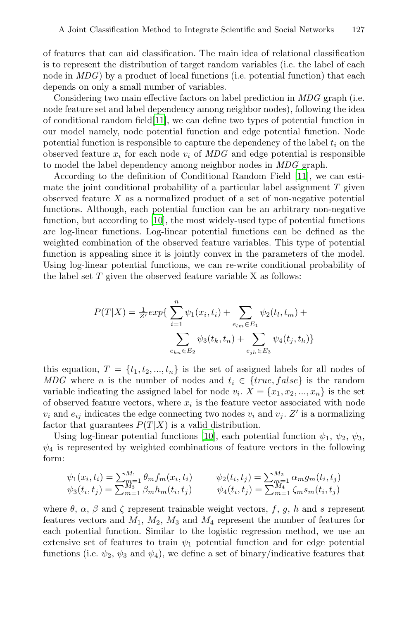of features that can aid classification. The main idea of relational classification is to represent the distribution of target random variables (i.e. the label of each node in *MDG*) by a product of local functions (i.e. potential function) that each depends on only a small number of variables[.](#page-11-7)

Considering two main effective factors on label prediction in *MDG* graph (i.e. node feature set and label dependency among neighbor nodes), following the idea of conditional random field[11], we can define two types of potential function in our mod[el n](#page-11-6)amely, node potential function and edge potential function. Node potential function is responsible to capture the dependency of the label  $t_i$  on the observed feature  $x_i$  for each node  $v_i$  of  $MDG$  and edge potential is responsible to model the label dependency among neighbor nodes in *MDG* graph.

According to the definition of Conditional Random Field [11], we can estimate the joint conditional probability of a particular label assignment  $T$  given observed feature X as a normalized product of a set of non-negative potential functions. Although, each potential function can be an arbitrary non-negative function, but according to [10], the most widely-used type of potential functions are log-linear functions. Log-linear potential functions can be defined as the weighted combination of the observed feature variables. This type of potential function is appealing since it is jointly convex in the parameters of the model. Using log-linear potential functions, we can re-write conditional probability of the label set  $T$  given the observed feature variable  $X$  as follows:

$$
P(T|X) = \frac{1}{Z'} exp{\frac{n}{Z'} \psi_1(x_i, t_i) + \sum_{e_{lm} \in E_1} \psi_2(t_l, t_m) + \sum_{e_{kn} \in E_2} \psi_3(t_k, t_n) + \sum_{e_{jh} \in E_3} \psi_4(t_j, t_h) \}}
$$

this equation,  $T = \{t_1, t_2, ..., t_n\}$  is the set of assigned labels for all nodes of *MDG* where *n* is the number of nodes and  $t_i \in \{true, false\}$  is the random variable indicating the assigned label for node  $v_i$ .  $X = \{x_1, x_2, ..., x_n\}$  is the set of observed feature vectors, where  $x_i$  is the feature vector associated with node  $v_i$  and  $e_{ij}$  indicates the edge connecting two nodes  $v_i$  and  $v_j$ . Z' is a normalizing factor that guarantees  $P(T|X)$  is a valid distribution.

Using log-linear potential functions [10], each potential function  $\psi_1$ ,  $\psi_2$ ,  $\psi_3$ ,  $\psi_4$  is represented by weighted combinations of feature vectors in the following form:

$$
\psi_1(x_i, t_i) = \sum_{m=1}^{M_1} \theta_m f_m(x_i, t_i) \qquad \psi_2(t_i, t_j) = \sum_{m=1}^{M_2} \alpha_m g_m(t_i, t_j)
$$
  

$$
\psi_3(t_i, t_j) = \sum_{m=1}^{M_3} \beta_m h_m(t_i, t_j) \qquad \psi_4(t_i, t_j) = \sum_{m=1}^{M_4} \zeta_m s_m(t_i, t_j)
$$

where  $\theta$ ,  $\alpha$ ,  $\beta$  and  $\zeta$  represent trainable weight vectors, f, g, h and s represent features vectors and  $M_1$ ,  $M_2$ ,  $M_3$  and  $M_4$  represent the number of features for each potential function. Similar to the logistic regression method, we use an extensive set of features to train  $\psi_1$  potential function and for edge potential functions (i.e.  $\psi_2$ ,  $\psi_3$  and  $\psi_4$ ), we define a set of binary/indicative features that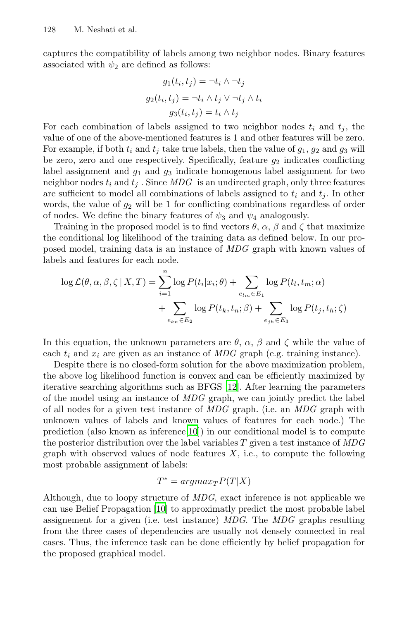captures the compatibility of labels among two neighbor nodes. Binary features associated with  $\psi_2$  are defined as follows:

$$
g_1(t_i, t_j) = \neg t_i \wedge \neg t_j
$$

$$
g_2(t_i, t_j) = \neg t_i \wedge t_j \vee \neg t_j \wedge t_i
$$

$$
g_3(t_i, t_j) = t_i \wedge t_j
$$

For each combination of labels assigned to two neighbor nodes  $t_i$  and  $t_j$ , the value of one of the above-mentioned features is 1 and other features will be zero. For example, if both  $t_i$  and  $t_j$  take true labels, then the value of  $g_1, g_2$  and  $g_3$  will be zero, zero and one respectively. Specifically, feature  $g_2$  indicates conflicting label assignment and  $g_1$  and  $g_3$  indicate homogenous label assignment for two neighbor nodes  $t_i$  and  $t_j$ . Since  $MDG$  is an undirected graph, only three features are sufficient to model all combinations of labels assigned to  $t_i$  and  $t_j$ . In other words, the value of  $g_2$  will be 1 for conflicting combinations regardless of order of nodes. We define the binary features of  $\psi_3$  and  $\psi_4$  analogously.

Training in the proposed model is to find vectors  $\theta$ ,  $\alpha$ ,  $\beta$  and  $\zeta$  that maximize the conditional log likelihood of the training data as defined below. In our proposed model, training data is an instance of *MDG* graph with known values of labels and features for each node.

$$
\log \mathcal{L}(\theta, \alpha, \beta, \zeta | X, T) = \sum_{i=1}^{n} \log P(t_i | x_i; \theta) + \sum_{e_{lm} \in E_1} \log P(t_l, t_m; \alpha) + \sum_{e_{kn} \in E_2} \log P(t_k, t_n; \beta) + \sum_{e_{jh} \in E_3} \log P(t_j, t_h; \zeta)
$$

In this equation, [the](#page-11-6) unknown parameters are  $\theta$ ,  $\alpha$ ,  $\beta$  and  $\zeta$  while the value of each  $t_i$  and  $x_i$  are given as an instance of  $MDG$  graph (e.g. training instance).

Despite there is no closed-form solution for the above maximization problem, the above log likelihood function is convex and can be efficiently maximized by iterative searching algorithms such as BFGS [12]. After learning the parameters of the model using an instance of *MDG* graph, we can jointly predict the label of all nodes for a given test instance of *MDG* graph. (i.e. an *MDG* graph with unknown [va](#page-11-6)lues of labels and known values of features for each node.) The prediction (also known as inference[10]) in our conditional model is to compute the posterior distribution over the label variables T given a test instance of *MDG* graph with observed values of node features  $X$ , i.e., to compute the following most probable assignment of labels:

# $T^* = argmax_T P(T|X)$

Although, due to loopy structure of *MDG*, exact inference is not applicable we can use Belief Propagation [10] to approximatly predict the most probable label assignement for a given (i.e. test instance) *MDG*. The *MDG* graphs resulting from the three cases of dependencies are usually not densely connected in real cases. Thus, the inference task can be done efficiently by belief propagation for the proposed graphical model.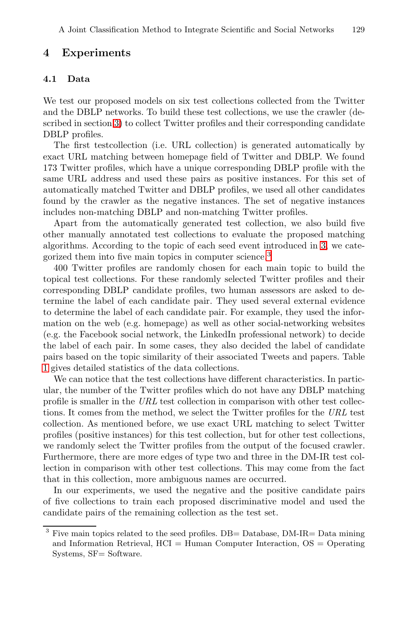## <span id="page-7-1"></span>**4 Experiments**

#### **4.1 Data**

We test our proposed models on six test collections collected from the Twitter and the DBLP networks. To build these test collections, we use the crawler (described in section 3) to collect Twitter profiles and their corresponding candidate DBLP profiles.

The first testcollection (i.e. URL collection) is generated automatically by exact URL matching between homepage field of [Tw](#page-2-1)itter and DBLP. We found 173 Twitter profiles, which have a u[niq](#page-7-0)ue corresponding DBLP profile with the same URL address and used these pairs as positive instances. For this set of automatically matched Twitter and DBLP profiles, we used all other candidates found by the crawler as the negative instances. The set of negative instances includes non-matching DBLP and non-matching Twitter profiles.

Apart from the automatically generated test collection, we also build five other manually annotated test collections to evaluate the proposed matching algorithms. According to the topic of each seed event introduced in 3, we categorized them into five main topics in computer science.<sup>3</sup>

400 Twitter profiles are randomly chosen for each main topic to build the topical test collections. For these randomly selected Twitter profiles and their corresponding DBLP candidate profiles, two human assessors are asked to determine the label of each candidate pair. They used several external evidence to determine the label of each candidate pair. For example, they used the information on the web (e.g. homepage) as well as other social-networking websites (e.g. the Facebook social network, the LinkedIn professional network) to decide the label of each pair. In some cases, they also decided the label of candidate pairs based on the topic similarity of their associated Tweets and papers. Table 1 gives detailed statistics of the data collections.

<span id="page-7-0"></span>We can notice that the test collections have different characteristics. In particular, the number of the Twitter profiles which do not have any DBLP matching profile is smaller in the *URL* test collection in comparison with other test collections. It comes from the method, we select the Twitter profiles for the *URL* test collection. As mentioned before, we use exact URL matching to select Twitter profiles (positive instances) for this test collection, but for other test collections, we randomly select the Twitter profiles from the output of the focused crawler. Furthermore, there are more edges of type two and three in the DM-IR test collection in comparison with other test collections. This may come from the fact that in this collection, more ambiguous names are occurred.

In our experiments, we used the negative and the positive candidate pairs of five collections to train each proposed discriminative model and used the candidate pairs of the remaining collection as the test set.

<sup>3</sup> Five main topics related to the seed profiles. DB= Database, DM-IR= Data mining and Information Retrieval,  $HCI = Human Computer Integration, OS = Operating$ Systems, SF= Software.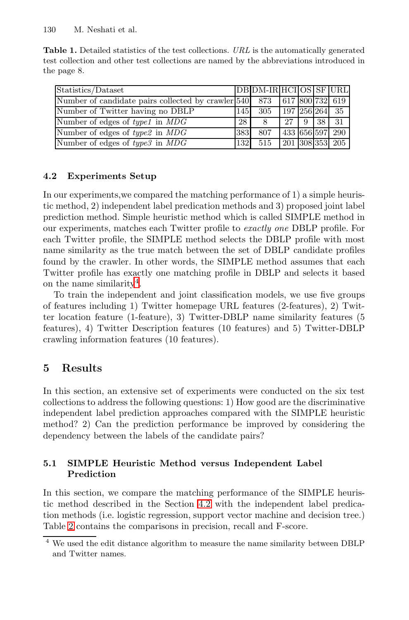<span id="page-8-1"></span>**Table 1.** Detailed statistics of the test collections. *URL* is the automatically generated test collection and other test collections are named by the abbreviations introduced in the page 8.

| Statistics/Dataset                                                     |      | DB DM-IR HCI OS SF URL |                                 |   |       |                 |
|------------------------------------------------------------------------|------|------------------------|---------------------------------|---|-------|-----------------|
| Number of candidate pairs collected by crawler 540 873 617 800 732 619 |      |                        |                                 |   |       |                 |
| Number of Twitter having no DBLP                                       | 1451 | 305                    | $197 \,   256 \,   264 \,   35$ |   |       |                 |
| Number of edges of <i>type1</i> in $MDG$                               | 28 l | 8                      | 27                              | 9 | -38 l | -31             |
| Number of edges of $type2$ in $MDG$                                    | 383  | 807                    | 433 656 597 290                 |   |       |                 |
| Number of edges of $type3$ in $MDG$                                    | 1321 | 515                    |                                 |   |       | 201 308 353 205 |

### **4.2 Experiments Setup**

In o[ur](#page-8-0) experiments,we compared the matching performance of 1) a simple heuristic method, 2) independent label predication methods and 3) proposed joint label prediction method. Simple heuristic method which is called SIMPLE method in our experiments, matches each Twitter profile to *exactly one* DBLP profile. For each Twitter profile, the SIMPLE method selects the DBLP profile with most name similarity as the true match between the set of DBLP candidate profiles found by the crawler. In other words, the SIMPLE method assumes that each Twitter profile has exactly one matching profile in DBLP and selects it based on the name similarity<sup>4</sup>.

To train the independent and joint classification models, we use five groups of features including 1) Twitter homepage URL features (2-features), 2) Twitter location feature (1-feature), 3) Twitter-DBLP name similarity features (5 features), 4) Twitter Description features (10 features) and 5) Twitter-DBLP crawling information features (10 features).

## **5 Results**

<span id="page-8-0"></span>In this section, an extensive set of experiments were conducted on the six test collections to address the following questions: 1) How good are the discriminative independent label p[redi](#page-8-1)ction approaches compared with the SIMPLE heuristic method? 2) Can the prediction performance be improved by considering the dependency between the labels of the candidate pairs?

## **5.1 SIMPLE Heuristic Method versus Independent Label Prediction**

In this section, we compare the matching performance of the SIMPLE heuristic method described in the Section 4.2 with the independent label predication methods (i.e. logistic regression, support vector machine and decision tree.) Table 2 contains the comparisons in precision, recall and F-score.

We used the edit distance algorithm to measure the name similarity between DBLP and Twitter names.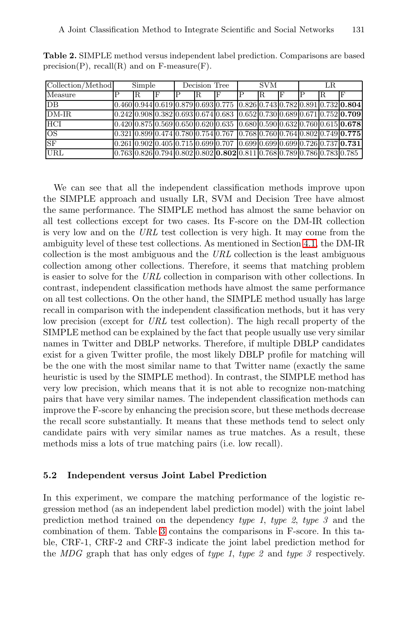**Table 2.** SIMPLE method versus independent label prediction. Comparisons are based precision(P), recall(R) and on  $F$ -measure(F).

| Collection/Method | Simple |   | Decision Tree |  |     | <b>SVM</b>                                                                            |             |     | LR. |  |     |                                                                                                 |
|-------------------|--------|---|---------------|--|-----|---------------------------------------------------------------------------------------|-------------|-----|-----|--|-----|-------------------------------------------------------------------------------------------------|
| Measure           |        | R | ıF            |  | IR. |                                                                                       | $\mathbf P$ | IR. |     |  | IR. |                                                                                                 |
| <b>DB</b>         |        |   |               |  |     |                                                                                       |             |     |     |  |     | $0.46010.94410.61910.87910.69310.77510.82610.74310.78210.89110.73210.804$                       |
| $DM-IR$           |        |   |               |  |     |                                                                                       |             |     |     |  |     | $0.2420.9080.3820.6930.6740.68300.6520.7300.6890.6710.7520$                                     |
| <b>HCI</b>        |        |   |               |  |     | $[0.420] 0.875] 0.569] 0.650] 0.620] 0.635] 0.680] 0.590] 0.632] 0.760] 0.615] 0.678$ |             |     |     |  |     |                                                                                                 |
| <b>OS</b>         |        |   |               |  |     |                                                                                       |             |     |     |  |     | $0.321$ $0.899$ $0.474$ $0.780$ $0.754$ $0.767$ $0.768$ $0.760$ $0.764$ $0.802$ $0.749$ $0.775$ |
| SF                |        |   |               |  |     | $0.2610.9020.4050.7150.6990.7070.6990.6990.6990.7260.7370.731$                        |             |     |     |  |     |                                                                                                 |
| URL               |        |   |               |  |     | $[0.763] 0.826] 0.794] 0.802] 0.802] 0.802] 0.811] 0.768] 0.789] 0.786] 0.783] 0.785$ |             |     |     |  |     |                                                                                                 |

We can see that all the independent classification methods improve upon the SIMPLE approach and usually LR, SVM and Decision Tree have almost the same performance. The SIMPLE method has almost the same behavior on all test collections except for two cases. Its F-score on the DM-IR collection is very low and on the *URL* test collection is very high. It may come from the ambiguity level of these test collections. As mentioned in Section 4.1, the DM-IR collection is the most ambiguous and the *URL* collection is the least ambiguous collection among other collections. Therefore, it seems that matching problem is easier to solve for the *URL* collection in comparison with other collections. In contrast, independent classification methods have almost the same performance on all test collections. On the other hand, the SIMPLE method usually has large recall in comparison with the independent classification methods, but it has very low precision (except for *URL* test collection). The high recall property of the SIMPLE method can be explained by the fact that people usually use very similar names in Twitter and DBLP networks. Therefore, if multiple DBLP candidates exist for a given Twitter profile, the most likely DBLP profile for matching will be the one with the most similar name to that Twitter name (exactly the same heuristic is used by the SIMPLE method). In contrast, the SIMPLE method has very low precision, which means that it is not able to recognize non-matching pairs that have very similar names. The independent classification methods can improve the F-score by enhancing the precision score, but these methods decrease the recall score substantially. It means that these methods tend to select only candidate pairs with very similar names as true matches. As a result, these methods [mis](#page-10-0)s a lots of true matching pairs (i.e. low recall).

#### **5.2 Independent versus Joint Label Prediction**

In this experiment, we compare the matching performance of the logistic regression method (as an independent label prediction model) with the joint label prediction method trained on the dependency *type 1*, *type 2*, *type 3* and the combination of them. Table 3 contains the comparisons in F-score. In this table, CRF-1, CRF-2 and CRF-3 indicate the joint label prediction method for the *MDG* graph that has only edges of *type 1*, *type 2* and *type 3* respectively.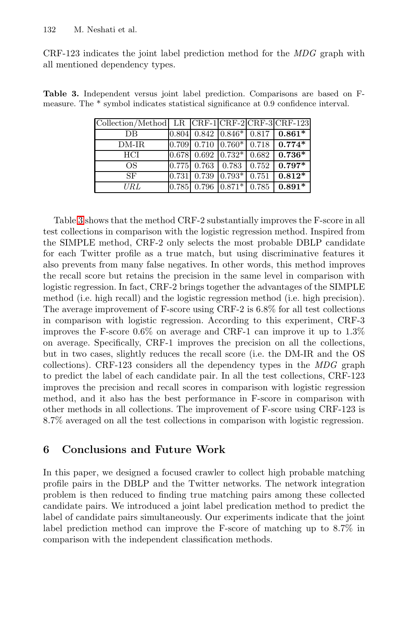<span id="page-10-0"></span>CRF-123 indicates the joint label prediction method for the *MDG* graph with all mentioned dependency types.

| Collection/Method LR CRF-1CRF-2CRF-3CRF-123 |  |                                           |                                                                           |
|---------------------------------------------|--|-------------------------------------------|---------------------------------------------------------------------------|
| DB                                          |  |                                           | $[0.804]$ $[0.842]$ $[0.846*]$ $[0.817]$ $[0.861*$                        |
| $DM-IR$                                     |  |                                           | $[0.709]$ $0.710$ $[0.760*]$ $0.718$ $[0.774*]$                           |
| HCI                                         |  | $0.678$ 0.692 0.732* 0.682                | $0.736*$                                                                  |
| OS                                          |  |                                           | $\left 0.775\right 0.763$ $\left 0.783\right 0.752$ $\left 0.797*\right $ |
| SF                                          |  | $0.731 \mid 0.739 \mid 0.793* \mid 0.751$ | $0.812*$                                                                  |
| URL                                         |  |                                           | $0.785$ 0.796 0.871* 0.785 0.891*                                         |

**Table 3.** Independent versus joint label prediction. Comparisons are based on Fmeasure. The \* symbol indicates statistical significance at 0.9 confidence interval.

Table 3 shows that the method CRF-2 substantially improves the F-score in all test collections in comparison with the logistic regression method. Inspired from the SIMPLE method, CRF-2 only selects the most probable DBLP candidate for each Twitter profile as a true match, but using discriminative features it also prevents from many false negatives. In other words, this method improves the recall score but retains the precision in the same level in comparison with logistic regression. In fact, CRF-2 brings together the advantages of the SIMPLE method (i.e. high recall) and the logistic regression method (i.e. high precision). The average improvement of F-score using CRF-2 is 6.8% for all test collections in comparison with logistic regression. According to this experiment, CRF-3 improves the F-score 0.6% on average and CRF-1 can improve it up to 1.3% on average. Specifically, CRF-1 improves the precision on all the collections, but in two cases, slightly reduces the recall score (i.e. the DM-IR and the OS collections). CRF-123 considers all the dependency types in the *MDG* graph to predict the label of each candidate pair. In all the test collections, CRF-123 improves the precision and recall scores in comparison with logistic regression method, and it also has the best performance in F-score in comparison with other methods in all collections. The improvement of F-score using CRF-123 is 8.7% averaged on all the test collections in comparison with logistic regression.

## **6 Conclusions and Future Work**

In this paper, we designed a focused crawler to collect high probable matching profile pairs in the DBLP and the Twitter networks. The network integration problem is then reduced to finding true matching pairs among these collected candidate pairs. We introduced a joint label predication method to predict the label of candidate pairs simultaneously. Our experiments indicate that the joint label prediction method can improve the F-score of matching up to 8.7% in comparison with the independent classification methods.